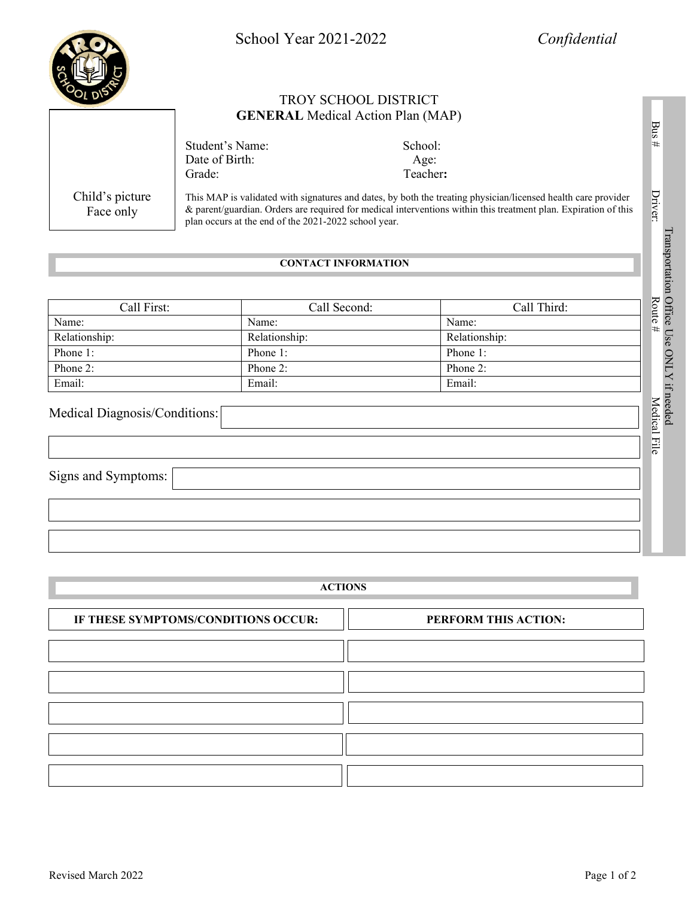School Year 2021-2022 *Confidential* TROY SCHOOL DISTRICT **GENERAL** Medical Action Plan (MAP) Student's Name: School: Date of Birth: Age: Grade: Teacher:

> This MAP is validated with signatures and dates, by both the treating physician/licensed health care provider & parent/guardian. Orders are required for medical interventions within this treatment plan. Expiration of this plan occurs at the end of the 2021-2022 school year.

# **CONTACT INFORMATION**

| Call First:   | Call Second:  | Call Third:   |
|---------------|---------------|---------------|
| Name:         | Name:         | Name:         |
| Relationship: | Relationship: | Relationship: |
| Phone 1:      | Phone 1:      | Phone 1:      |
| Phone 2:      | Phone 2:      | Phone 2:      |
| Email:        | Email:        | Email:        |

# Medical Diagnosis/Conditions:

Signs and Symptoms:

| <b>ACTIONS</b>                      |                      |  |
|-------------------------------------|----------------------|--|
| IF THESE SYMPTOMS/CONDITIONS OCCUR: | PERFORM THIS ACTION: |  |
|                                     |                      |  |
|                                     |                      |  |
|                                     |                      |  |
|                                     |                      |  |
|                                     |                      |  |
|                                     |                      |  |

Transportation Office Use ONLY if needed

Transportation Office Use ONLY if needed Route #

Bus # Driver: Route # Medical File

Medical File

Bus #

Driver:



Child's picture Face only